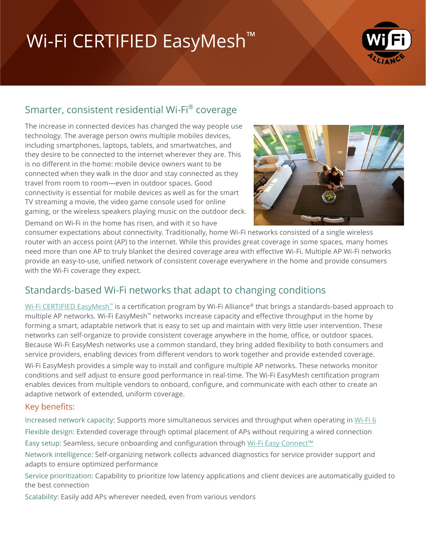# Wi-Fi CERTIFIED EasyMesh<sup>™</sup>



## Smarter, consistent residential Wi-Fi® coverage

The increase in connected devices has changed the way people use technology. The average person owns multiple mobiles devices, including smartphones, laptops, tablets, and smartwatches, and they desire to be connected to the internet wherever they are. This is no different in the home: mobile device owners want to be connected when they walk in the door and stay connected as they travel from room to room—even in outdoor spaces. Good connectivity is essential for mobile devices as well as for the smart TV streaming a movie, the video game console used for online gaming, or the wireless speakers playing music on the outdoor deck.

Demand on Wi-Fi in the home has risen, and with it so have



consumer expectations about connectivity. Traditionally, home Wi-Fi networks consisted of a single wireless router with an access point (AP) to the internet. While this provides great coverage in some spaces, many homes need more than one AP to truly blanket the desired coverage area with effective Wi-Fi. Multiple AP Wi-Fi networks provide an easy-to-use, unified network of consistent coverage everywhere in the home and provide consumers with the Wi-Fi coverage they expect.

## Standards-based Wi-Fi networks that adapt to changing conditions

[Wi-Fi CERTIFIED EasyMesh](https://www.wi-fi.org/discover-wi-fi/wi-fi-easymesh)™ is a certification program by Wi-Fi Alliance® that brings a standards-based approach to multiple AP networks. Wi-Fi EasyMesh™ networks increase capacity and effective throughput in the home by forming a smart, adaptable network that is easy to set up and maintain with very little user intervention. These networks can self-organize to provide consistent coverage anywhere in the home, office, or outdoor spaces. Because Wi-Fi EasyMesh networks use a common standard, they bring added flexibility to both consumers and service providers, enabling devices from different vendors to work together and provide extended coverage.

Wi-Fi EasyMesh provides a simple way to install and configure multiple AP networks. These networks monitor conditions and self adjust to ensure good performance in real-time. The Wi-Fi EasyMesh certification program enables devices from multiple vendors to onboard, configure, and communicate with each other to create an adaptive network of extended, uniform coverage.

#### Key benefits:

Increased network capacity: Supports more simultaneous services and throughput when operating i[n Wi-Fi 6](https://www.wi-fi.org/discover-wi-fi/wi-fi-certified-6) Flexible design: Extended coverage through optimal placement of APs without requiring a wired connection Easy setup: Seamless, secure onboarding and configuration through [Wi-Fi Easy Connect](https://www.wi-fi.org/discover-wi-fi/wi-fi-easy-connect)™

Network intelligence: Self-organizing network collects advanced diagnostics for service provider support and adapts to ensure optimized performance

Service prioritization: Capability to prioritize low latency applications and client devices are automatically guided to the best connection

Scalability: Easily add APs wherever needed, even from various vendors